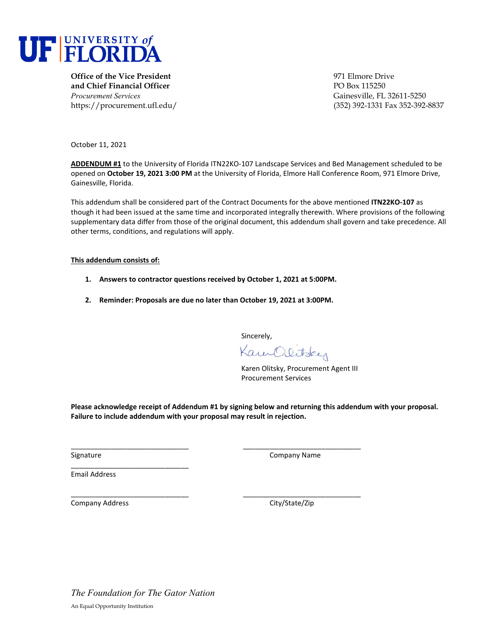

**Office of the Vice President 1971 Elmore Drive and Chief Financial Officer** PO Box 115250 *Procurement Services* Gainesville, FL 32611-5250

https://procurement.ufl.edu/ (352) 392-1331 Fax 352-392-8837

October 11, 2021

**ADDENDUM #1** to the University of Florida ITN22KO-107 Landscape Services and Bed Management scheduled to be opened on **October 19, 2021 3:00 PM** at the University of Florida, Elmore Hall Conference Room, 971 Elmore Drive, Gainesville, Florida.

This addendum shall be considered part of the Contract Documents for the above mentioned **ITN22KO-107** as though it had been issued at the same time and incorporated integrally therewith. Where provisions of the following supplementary data differ from those of the original document, this addendum shall govern and take precedence. All other terms, conditions, and regulations will apply.

## **This addendum consists of:**

- **1. Answers to contractor questions received by October 1, 2021 at 5:00PM.**
- **2. Reminder: Proposals are due no later than October 19, 2021 at 3:00PM.**

\_\_\_\_\_\_\_\_\_\_\_\_\_\_\_\_\_\_\_\_\_\_\_\_\_\_\_\_\_\_ \_\_\_\_\_\_\_\_\_\_\_\_\_\_\_\_\_\_\_\_\_\_\_\_\_\_\_\_\_\_

Sincerely,

Kam Olitsky

Karen Olitsky, Procurement Agent III Procurement Services

**Please acknowledge receipt of Addendum #1 by signing below and returning this addendum with your proposal. Failure to include addendum with your proposal may result in rejection.** 

Signature Company Name

Email Address

\_\_\_\_\_\_\_\_\_\_\_\_\_\_\_\_\_\_\_\_\_\_\_\_\_\_\_\_\_\_ \_\_\_\_\_\_\_\_\_\_\_\_\_\_\_\_\_\_\_\_\_\_\_\_\_\_\_\_\_\_ Company Address Company Address City/State/Zip

\_\_\_\_\_\_\_\_\_\_\_\_\_\_\_\_\_\_\_\_\_\_\_\_\_\_\_\_\_\_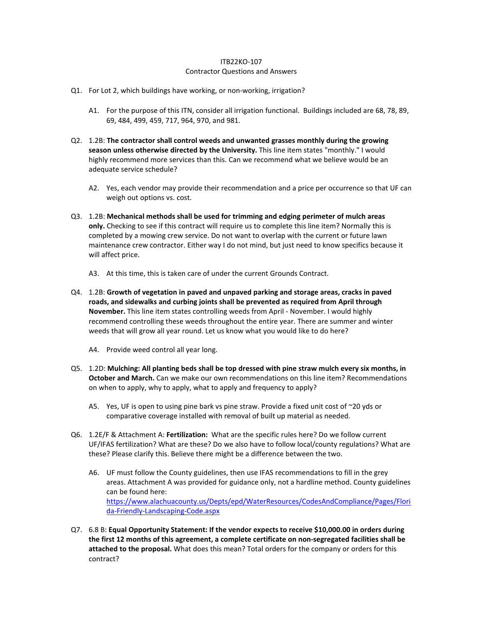## ITB22KO-107 Contractor Questions and Answers

- Q1. For Lot 2, which buildings have working, or non-working, irrigation?
	- A1. For the purpose of this ITN, consider all irrigation functional. Buildings included are 68, 78, 89, 69, 484, 499, 459, 717, 964, 970, and 981.
- Q2. 1.2B: **The contractor shall control weeds and unwanted grasses monthly during the growing season unless otherwise directed by the University.** This line item states "monthly." I would highly recommend more services than this. Can we recommend what we believe would be an adequate service schedule?
	- A2. Yes, each vendor may provide their recommendation and a price per occurrence so that UF can weigh out options vs. cost.
- Q3. 1.2B: **Mechanical methods shall be used for trimming and edging perimeter of mulch areas only.** Checking to see if this contract will require us to complete this line item? Normally this is completed by a mowing crew service. Do not want to overlap with the current or future lawn maintenance crew contractor. Either way I do not mind, but just need to know specifics because it will affect price.
	- A3. At this time, this is taken care of under the current Grounds Contract.
- Q4. 1.2B: **Growth of vegetation in paved and unpaved parking and storage areas, cracks in paved roads, and sidewalks and curbing joints shall be prevented as required from April through November.** This line item states controlling weeds from April - November. I would highly recommend controlling these weeds throughout the entire year. There are summer and winter weeds that will grow all year round. Let us know what you would like to do here?
	- A4. Provide weed control all year long.
- Q5. 1.2D: **Mulching: All planting beds shall be top dressed with pine straw mulch every six months, in October and March.** Can we make our own recommendations on this line item? Recommendations on when to apply, why to apply, what to apply and frequency to apply?
	- A5. Yes, UF is open to using pine bark vs pine straw. Provide a fixed unit cost of  $\sim$ 20 yds or comparative coverage installed with removal of built up material as needed.
- Q6. 1.2E/F & Attachment A: **Fertilization:** What are the specific rules here? Do we follow current UF/IFAS fertilization? What are these? Do we also have to follow local/county regulations? What are these? Please clarify this. Believe there might be a difference between the two.
	- A6. UF must follow the County guidelines, then use IFAS recommendations to fill in the grey areas. Attachment A was provided for guidance only, not a hardline method. County guidelines can be found here: [https://www.alachuacounty.us/Depts/epd/WaterResources/CodesAndCompliance/Pages/Flori](https://www.alachuacounty.us/Depts/epd/WaterResources/CodesAndCompliance/Pages/Florida-Friendly-Landscaping-Code.aspx) [da-Friendly-Landscaping-Code.aspx](https://www.alachuacounty.us/Depts/epd/WaterResources/CodesAndCompliance/Pages/Florida-Friendly-Landscaping-Code.aspx)
- Q7. 6.8 B: **Equal Opportunity Statement: If the vendor expects to receive \$10,000.00 in orders during the first 12 months of this agreement, a complete certificate on non-segregated facilities shall be attached to the proposal.** What does this mean? Total orders for the company or orders for this contract?